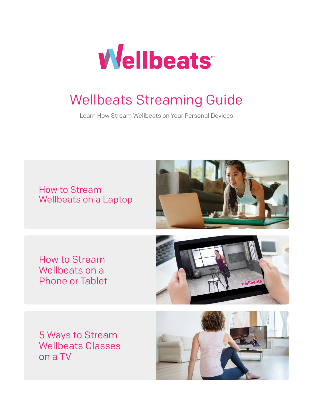

# Wellbeats Streaming Guide

Learn How Stream Wellbeats on Your Personal Devices



5 Ways to Stream Wellbeats Classes on a TV

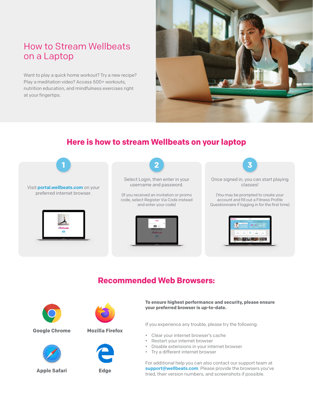# How to Stream Wellbeats on a Laptop

Want to play a quick home workout? Try a new recipe? Play a meditation video? Access 500+ workouts, nutrition education, and mindfulness exercises right at your fingertips.



## **Here is how to stream Wellbeats on your laptop**



## **Recommended Web Browsers:**



#### **Google Chrome Mozilla Firefox**



**Apple Safari Edge**





**To ensure highest performance and security, please ensure your preferred browser is up-to-date.** 

If you experience any trouble, please try the following:

- Clear your internet browser's cache
- Restart your internet browser
- Disable extensions in your internet browser
- Try a different internet browser

For additional help you can also contact our support team at support@wellbeats.com. Please provide the browsers you've tried, their version numbers, and screenshots if possible.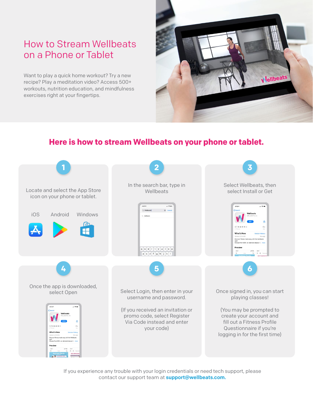# How to Stream Wellbeats on a Phone or Tablet

Want to play a quick home workout? Try a new recipe? Play a meditation video? Access 500+ workouts, nutrition education, and mindfulness exercises right at your fingertips.



### **Here is how to stream Wellbeats on your phone or tablet.**



If you experience any trouble with your login credentials or need tech support, please contact our support team at **support@wellbeats.com.**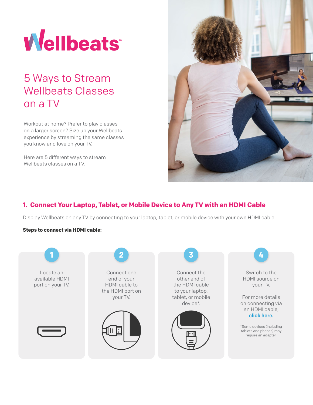

# 5 Ways to Stream Wellbeats Classes on a TV

Workout at home? Prefer to play classes on a larger screen? Size up your Wellbeats experience by streaming the same classes you know and love on your TV.

Here are 5 different ways to stream Wellbeats classes on a TV.



#### **1. Connect Your Laptop, Tablet, or Mobile Device to Any TV with an HDMI Cable**

Display Wellbeats on any TV by connecting to your laptop, tablet, or mobile device with your own HDMI cable.

#### **Steps to connect via HDMI cable:**

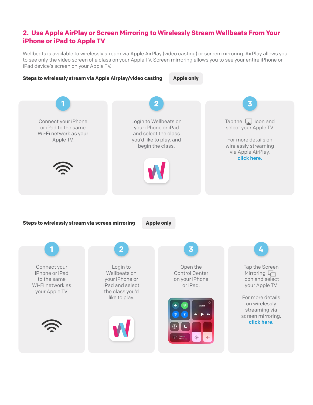#### **2. Use Apple AirPlay or Screen Mirroring to Wirelessly Stream Wellbeats From Your iPhone or iPad to Apple TV**

Wellbeats is available to wirelessly stream via Apple AirPlay (video casting) or screen mirroring. AirPlay allows you to see only the video screen of a class on your Apple TV. Screen mirroring allows you to see your entire iPhone or iPad device's screen on your Apple TV.

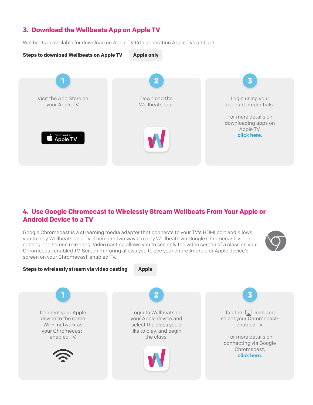#### **3. Download the Wellbeats App on Apple TV**

Wellbeats is available for download on Apple TV (4th generation Apple TVs and up).



#### **4. Use Google Chromecast to Wirelessly Stream Wellbeats From Your Apple or Android Device to a TV**

Google Chromecast is a streaming media adapter that connects to your TV's HDMI port and allows you to play Wellbeats on a TV. There are two ways to play Wellbeats via Google Chromecast: video casting and screen mirroring. Video casting allows you to see only the video screen of a class on your Chromecast-enabled TV. Screen mirroring allows you to see your entire Android or Apple device's screen on your Chromecast-enabled TV.



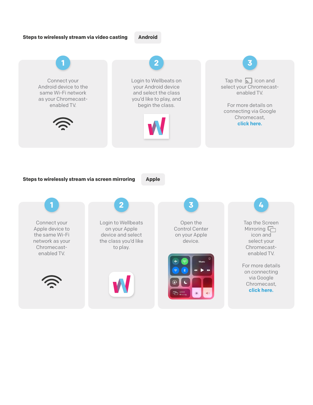#### **Steps to wirelessly stream via video casting Android**

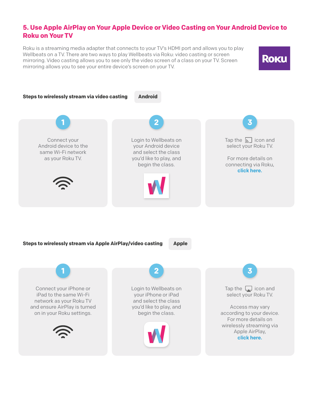#### **5. Use Apple AirPlay on Your Apple Device or Video Casting on Your Android Device to Roku on Your TV**

Roku is a streaming media adapter that connects to your TV's HDMI port and allows you to play Wellbeats on a TV. There are two ways to play Wellbeats via Roku: video casting or screen mirroring. Video casting allows you to see only the video screen of a class on your TV. Screen mirroring allows you to see your entire device's screen on your TV.